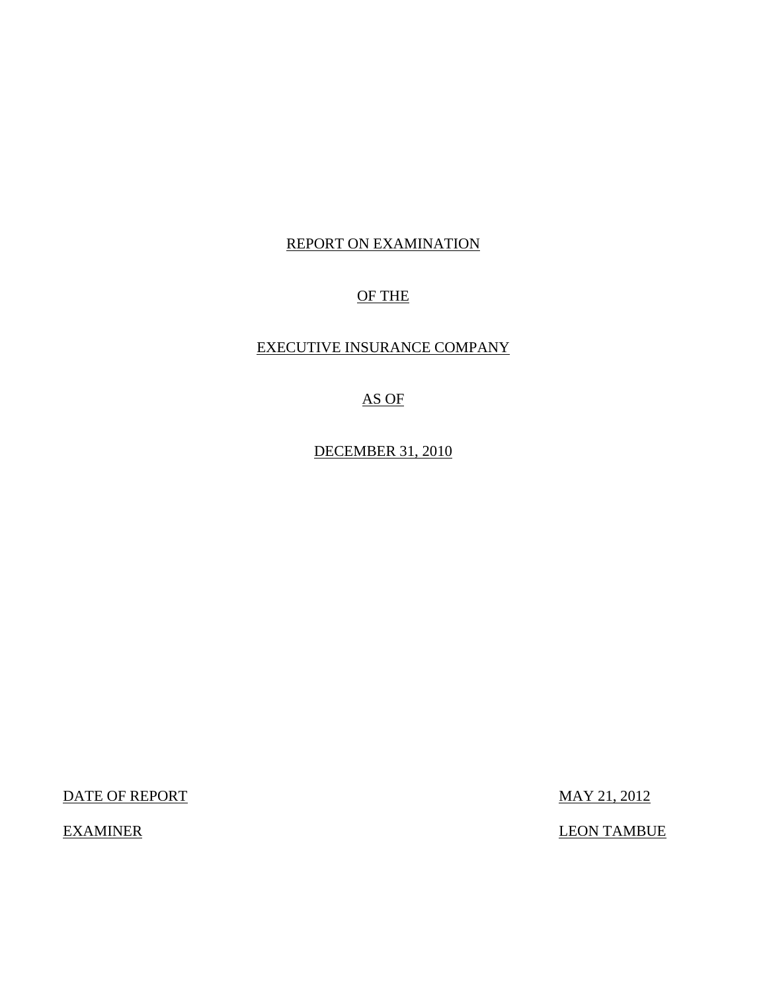# REPORT ON EXAMINATION

## OF THE

## EXECUTIVE INSURANCE COMPANY

## AS OF

DECEMBER 31, 2010

DATE OF REPORT MAY 21, 2012

EXAMINER LEON TAMBUE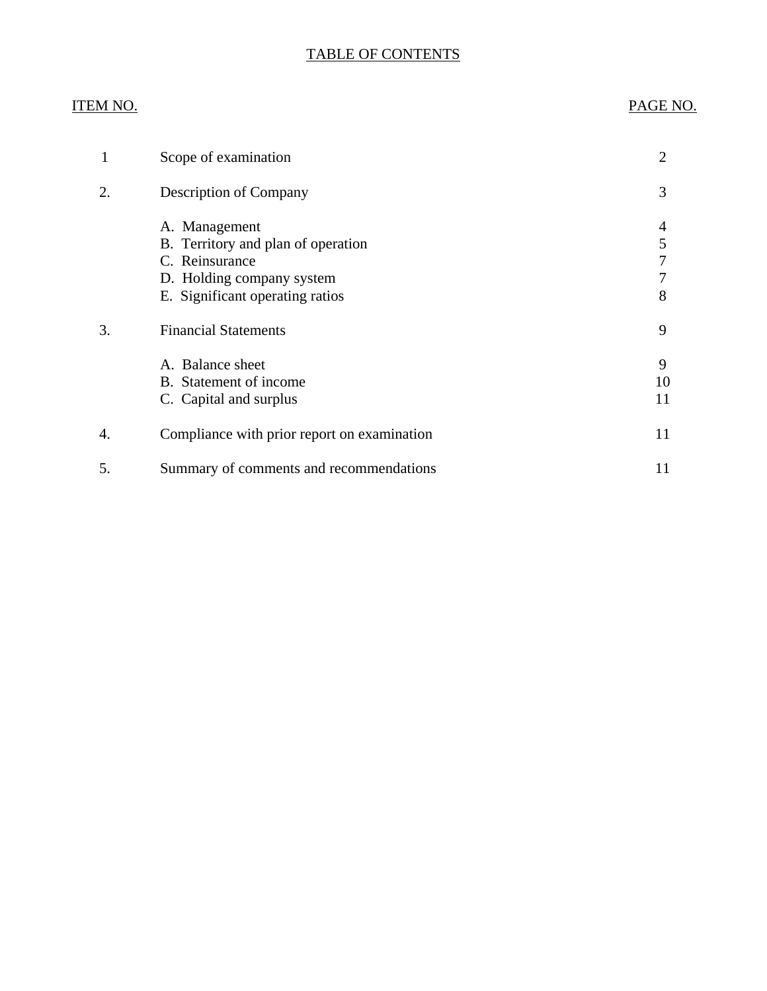### TABLE OF CONTENTS

# ITEM NO. PAGE NO.

| $\mathbf{1}$ | Scope of examination                                                                                                                  | 2             |
|--------------|---------------------------------------------------------------------------------------------------------------------------------------|---------------|
| 2.           | Description of Company                                                                                                                | 3             |
|              | A. Management<br>B. Territory and plan of operation<br>C. Reinsurance<br>D. Holding company system<br>E. Significant operating ratios | 4<br>5<br>8   |
| 3.           | <b>Financial Statements</b>                                                                                                           | 9             |
|              | A. Balance sheet<br>B. Statement of income<br>C. Capital and surplus                                                                  | 9<br>10<br>11 |
| 4.           | Compliance with prior report on examination                                                                                           | 11            |
| 5.           | Summary of comments and recommendations                                                                                               | 11            |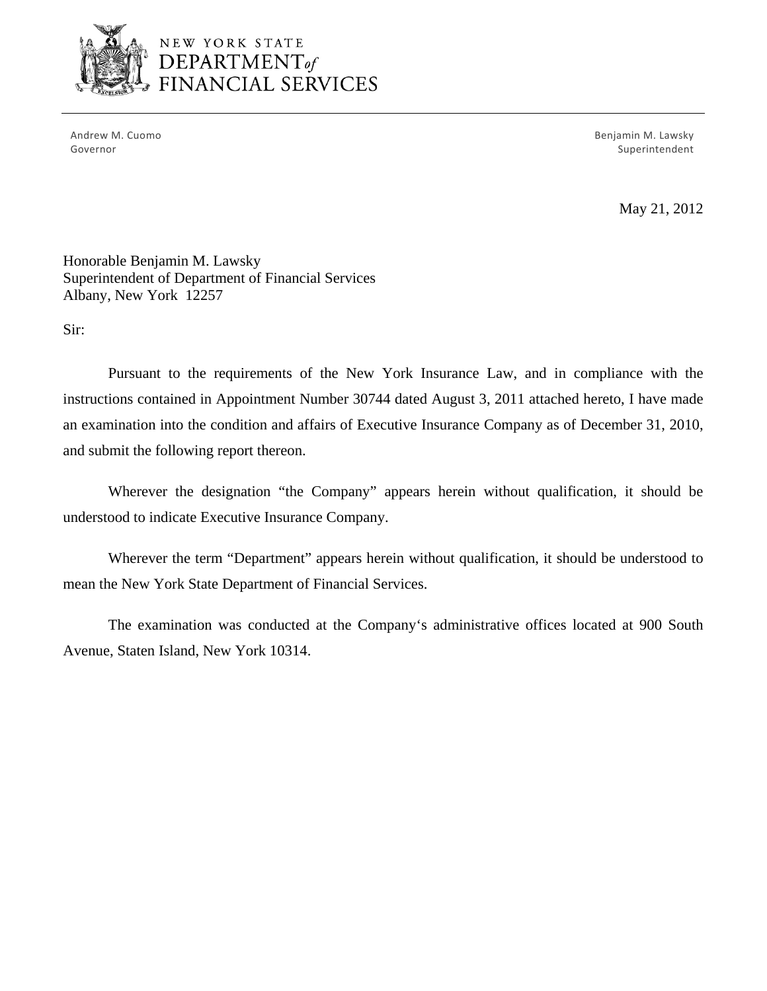

# NEW YORK STATE DEPARTMENT *of*  FINANCIAL SERVICES

Andrew M. Cuomo **Benjamin M. Lawsky** Governor Superintendent and Superintendent Superintendent Superintendent Superintendent Superintendent Superintendent

May 21, 2012

Honorable Benjamin M. Lawsky Superintendent of Department of Financial Services Albany, New York 12257

Sir:

Pursuant to the requirements of the New York Insurance Law, and in compliance with the instructions contained in Appointment Number 30744 dated August 3, 2011 attached hereto, I have made an examination into the condition and affairs of Executive Insurance Company as of December 31, 2010, and submit the following report thereon.

Wherever the designation "the Company" appears herein without qualification, it should be understood to indicate Executive Insurance Company.

Wherever the term "Department" appears herein without qualification, it should be understood to mean the New York State Department of Financial Services.

The examination was conducted at the Company's administrative offices located at 900 South Avenue, Staten Island, New York 10314.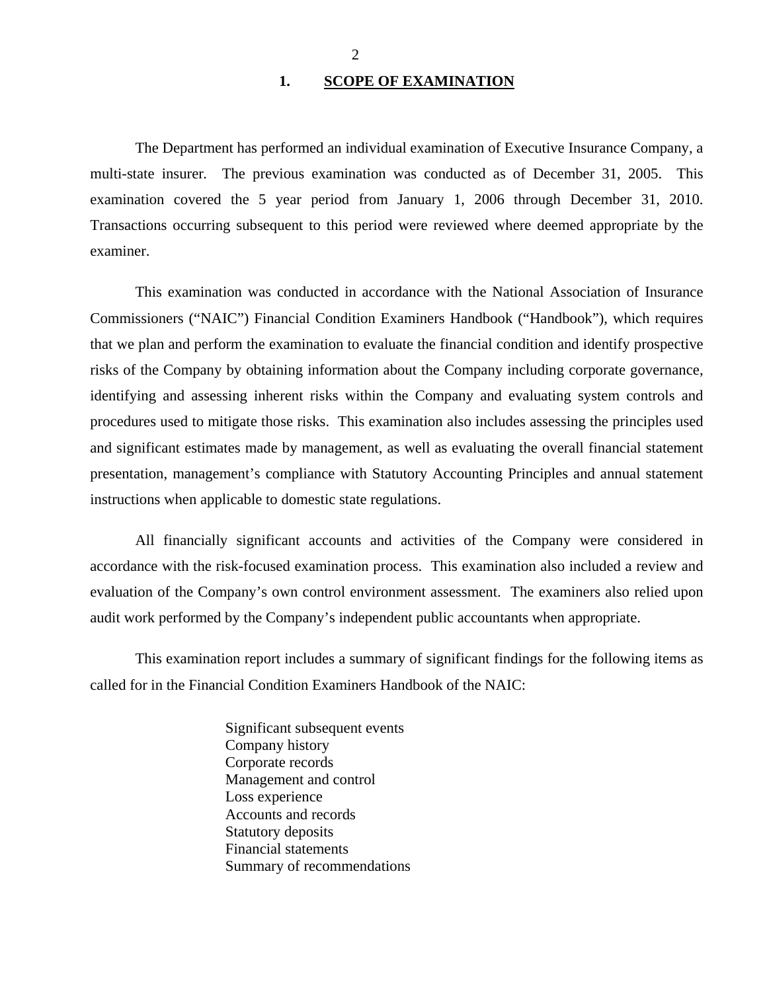#### 1. SCOPE OF EXAMINATION

<span id="page-3-0"></span>The Department has performed an individual examination of Executive Insurance Company, a multi-state insurer*.* The previous examination was conducted as of December 31, 2005. This examination covered the 5 year period from January 1, 2006 through December 31, 2010. Transactions occurring subsequent to this period were reviewed where deemed appropriate by the examiner.

This examination was conducted in accordance with the National Association of Insurance Commissioners ("NAIC") Financial Condition Examiners Handbook ("Handbook"), which requires that we plan and perform the examination to evaluate the financial condition and identify prospective risks of the Company by obtaining information about the Company including corporate governance, identifying and assessing inherent risks within the Company and evaluating system controls and procedures used to mitigate those risks. This examination also includes assessing the principles used and significant estimates made by management, as well as evaluating the overall financial statement presentation, management's compliance with Statutory Accounting Principles and annual statement instructions when applicable to domestic state regulations.

All financially significant accounts and activities of the Company were considered in accordance with the risk-focused examination process. This examination also included a review and evaluation of the Company's own control environment assessment. The examiners also relied upon audit work performed by the Company's independent public accountants when appropriate.

This examination report includes a summary of significant findings for the following items as called for in the Financial Condition Examiners Handbook of the NAIC:

> Significant subsequent events Company history Corporate records Management and control Loss experience Accounts and records Statutory deposits Financial statements Summary of recommendations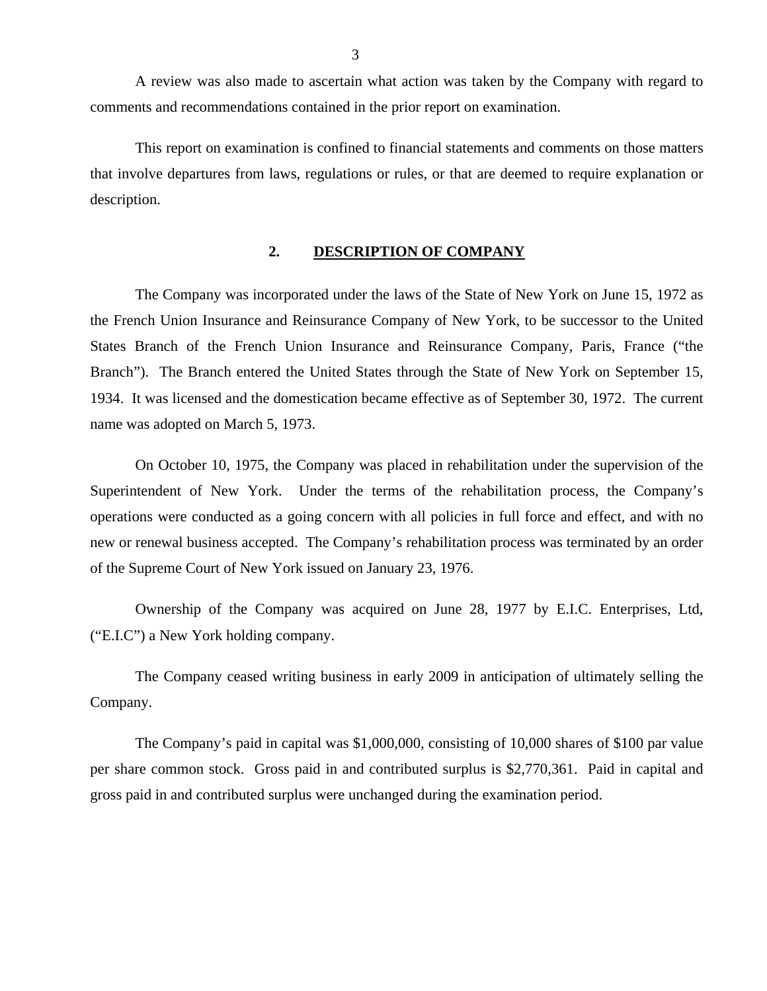<span id="page-4-0"></span>A review was also made to ascertain what action was taken by the Company with regard to comments and recommendations contained in the prior report on examination.

This report on examination is confined to financial statements and comments on those matters that involve departures from laws, regulations or rules, or that are deemed to require explanation or description.

#### **2. DESCRIPTION OF COMPANY**

The Company was incorporated under the laws of the State of New York on June 15, 1972 as the French Union Insurance and Reinsurance Company of New York, to be successor to the United States Branch of the French Union Insurance and Reinsurance Company, Paris, France ("the Branch"). The Branch entered the United States through the State of New York on September 15, 1934. It was licensed and the domestication became effective as of September 30, 1972. The current name was adopted on March 5, 1973.

On October 10, 1975, the Company was placed in rehabilitation under the supervision of the Superintendent of New York. Under the terms of the rehabilitation process, the Company's operations were conducted as a going concern with all policies in full force and effect, and with no new or renewal business accepted. The Company's rehabilitation process was terminated by an order of the Supreme Court of New York issued on January 23, 1976.

Ownership of the Company was acquired on June 28, 1977 by E.I.C. Enterprises, Ltd, ("E.I.C") a New York holding company.

The Company ceased writing business in early 2009 in anticipation of ultimately selling the Company.

The Company's paid in capital was \$1,000,000, consisting of 10,000 shares of \$100 par value per share common stock. Gross paid in and contributed surplus is \$2,770,361. Paid in capital and gross paid in and contributed surplus were unchanged during the examination period.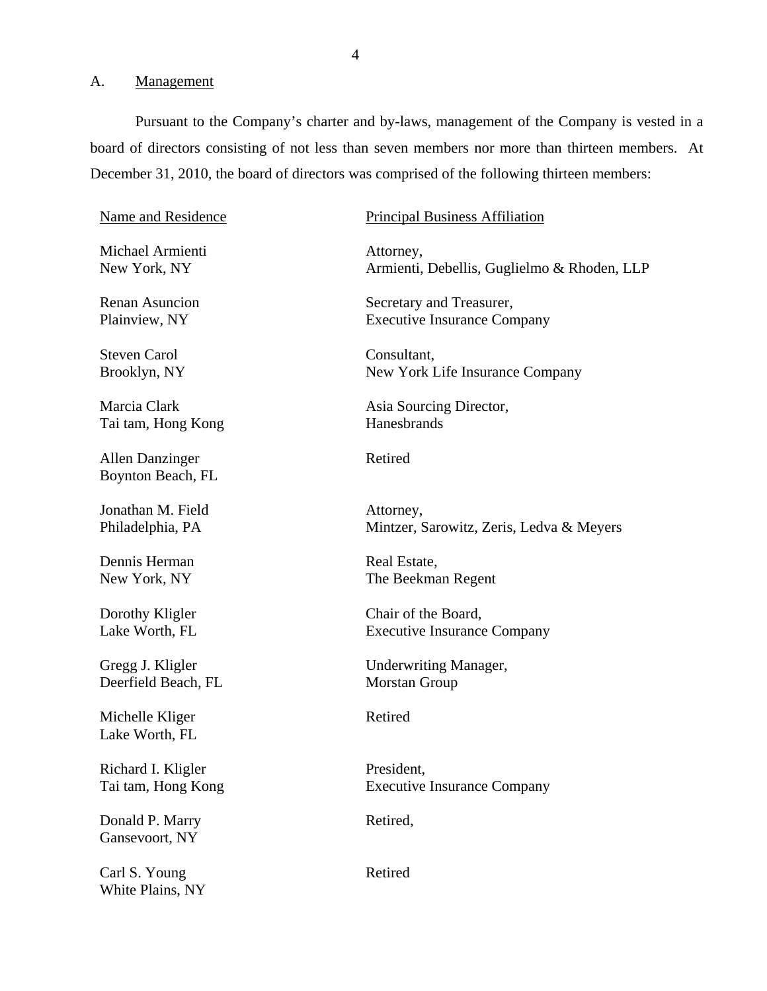#### <span id="page-5-0"></span>A. Management

Pursuant to the Company's charter and by-laws, management of the Company is vested in a board of directors consisting of not less than seven members nor more than thirteen members. At December 31, 2010, the board of directors was comprised of the following thirteen members:

Michael Armienti **Attorney**,

Steven Carol Consultant,

Tai tam, Hong Kong **Hanesbrands** 

Allen Danzinger Retired Boynton Beach, FL

Jonathan M. Field Attorney,

Dennis Herman Real Estate.

Deerfield Beach, FL Morstan Group

Michelle Kliger Retired Lake Worth, FL

Richard I. Kligler President,

Donald P. Marry Retired, Gansevoort, NY

Carl S. Young Retired White Plains, NY

#### Name and Residence Principal Business Affiliation

New York, NY Armienti, Debellis, Guglielmo & Rhoden, LLP

Renan Asuncion Secretary and Treasurer, Plainview, NY Executive Insurance Company

Brooklyn, NY New York Life Insurance Company

Marcia Clark Asia Sourcing Director,

Philadelphia, PA Mintzer, Sarowitz, Zeris, Ledva & Meyers

New York, NY The Beekman Regent

Dorothy Kligler Chair of the Board, Lake Worth, FL Executive Insurance Company

Gregg J. Kligler Underwriting Manager,

Tai tam, Hong Kong **Executive Insurance Company**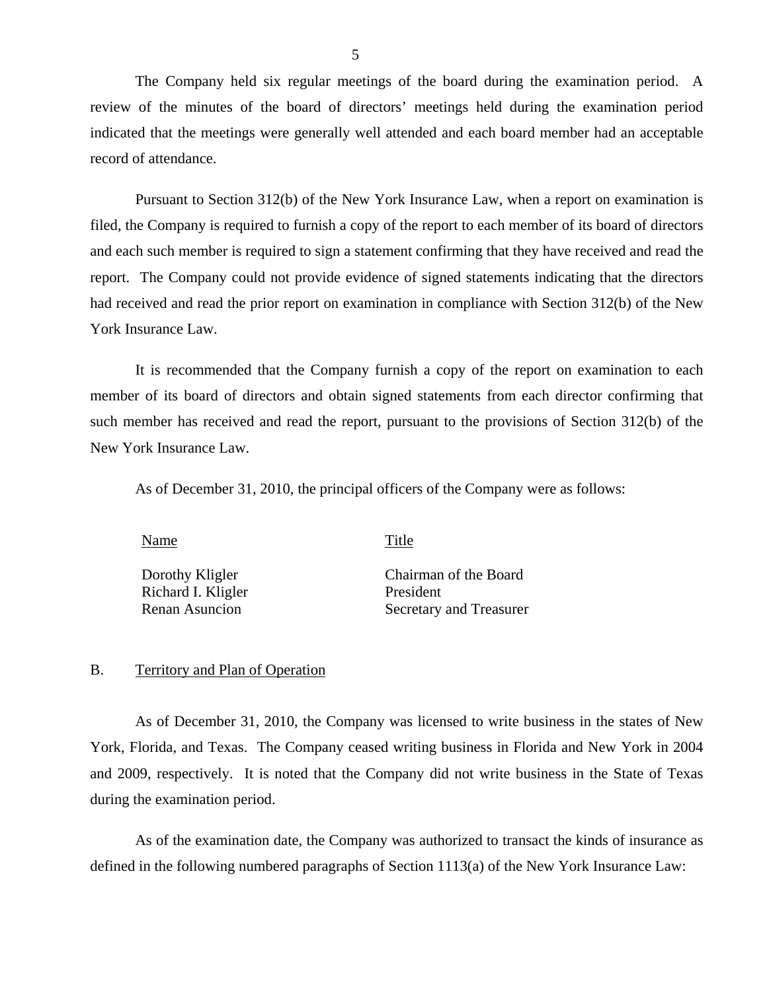<span id="page-6-0"></span>The Company held six regular meetings of the board during the examination period. A review of the minutes of the board of directors' meetings held during the examination period indicated that the meetings were generally well attended and each board member had an acceptable record of attendance.

Pursuant to Section 312(b) of the New York Insurance Law, when a report on examination is filed, the Company is required to furnish a copy of the report to each member of its board of directors and each such member is required to sign a statement confirming that they have received and read the report. The Company could not provide evidence of signed statements indicating that the directors had received and read the prior report on examination in compliance with Section 312(b) of the New York Insurance Law.

It is recommended that the Company furnish a copy of the report on examination to each member of its board of directors and obtain signed statements from each director confirming that such member has received and read the report, pursuant to the provisions of Section 312(b) of the New York Insurance Law.

As of December 31, 2010, the principal officers of the Company were as follows:

Name Title

Richard I. Kligler President

Dorothy Kligler Chairman of the Board Renan Asuncion Secretary and Treasurer

### B. Territory and Plan of Operation

As of December 31, 2010, the Company was licensed to write business in the states of New York, Florida, and Texas. The Company ceased writing business in Florida and New York in 2004 and 2009, respectively. It is noted that the Company did not write business in the State of Texas during the examination period.

As of the examination date, the Company was authorized to transact the kinds of insurance as defined in the following numbered paragraphs of Section 1113(a) of the New York Insurance Law: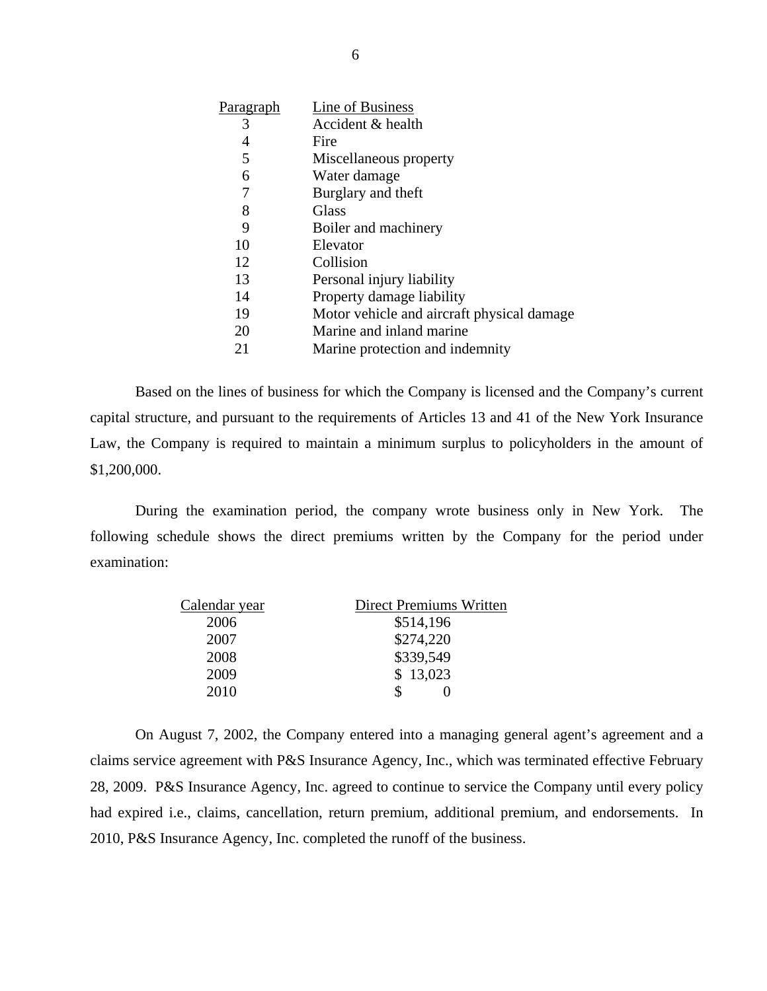| Paragraph | Line of Business                           |
|-----------|--------------------------------------------|
| 3         | Accident & health                          |
| 4         | Fire                                       |
| 5         | Miscellaneous property                     |
| 6         | Water damage                               |
| 7         | Burglary and theft                         |
| 8         | Glass                                      |
| 9         | Boiler and machinery                       |
| 10        | Elevator                                   |
| 12        | Collision                                  |
| 13        | Personal injury liability                  |
| 14        | Property damage liability                  |
| 19        | Motor vehicle and aircraft physical damage |
| 20        | Marine and inland marine                   |
| 21        | Marine protection and indemnity            |

Based on the lines of business for which the Company is licensed and the Company's current capital structure, and pursuant to the requirements of Articles 13 and 41 of the New York Insurance Law, the Company is required to maintain a minimum surplus to policyholders in the amount of \$1,200,000.

During the examination period, the company wrote business only in New York. The following schedule shows the direct premiums written by the Company for the period under examination:

| Calendar year | <b>Direct Premiums Written</b> |
|---------------|--------------------------------|
| 2006          | \$514,196                      |
| 2007          | \$274,220                      |
| 2008          | \$339,549                      |
| 2009          | \$13,023                       |
| 2010          |                                |
|               |                                |

On August 7, 2002, the Company entered into a managing general agent's agreement and a claims service agreement with P&S Insurance Agency, Inc., which was terminated effective February 28, 2009. P&S Insurance Agency, Inc. agreed to continue to service the Company until every policy had expired i.e., claims, cancellation, return premium, additional premium, and endorsements. In 2010, P&S Insurance Agency, Inc. completed the runoff of the business.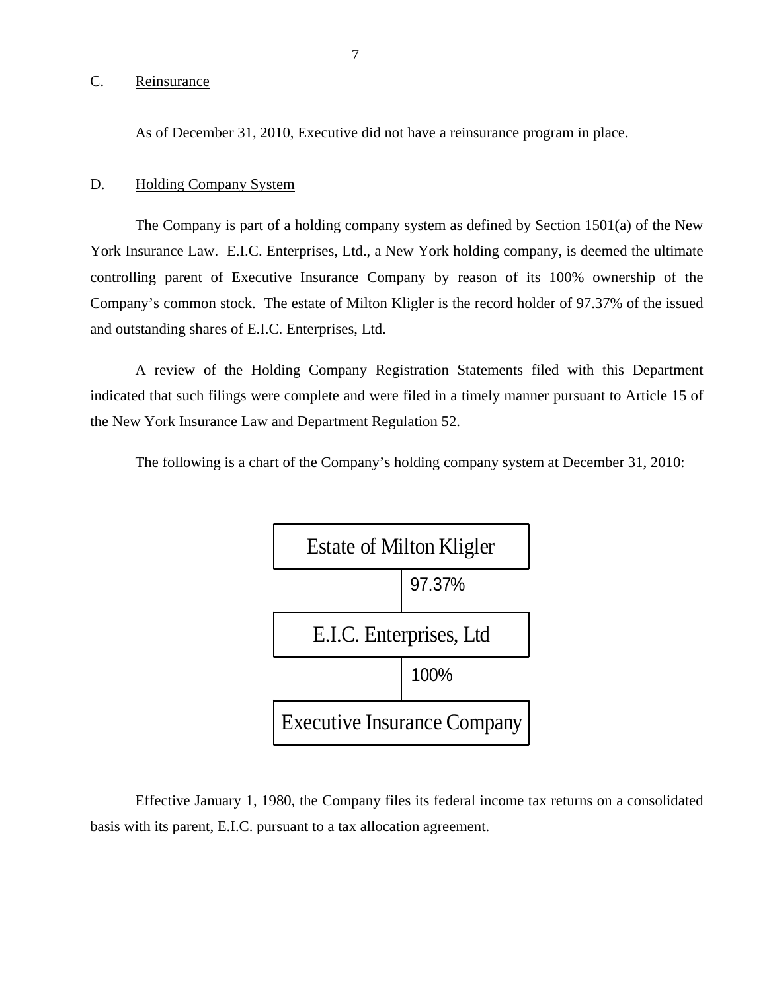#### C. Reinsurance

As of December 31, 2010, Executive did not have a reinsurance program in place.

#### D. Holding Company System

The Company is part of a holding company system as defined by Section 1501(a) of the New York Insurance Law. E.I.C. Enterprises, Ltd., a New York holding company, is deemed the ultimate controlling parent of Executive Insurance Company by reason of its 100% ownership of the Company's common stock. The estate of Milton Kligler is the record holder of 97.37% of the issued and outstanding shares of E.I.C. Enterprises, Ltd.

A review of the Holding Company Registration Statements filed with this Department indicated that such filings were complete and were filed in a timely manner pursuant to Article 15 of the New York Insurance Law and Department Regulation 52.

The following is a chart of the Company's holding company system at December 31, 2010:



Effective January 1, 1980, the Company files its federal income tax returns on a consolidated basis with its parent, E.I.C. pursuant to a tax allocation agreement.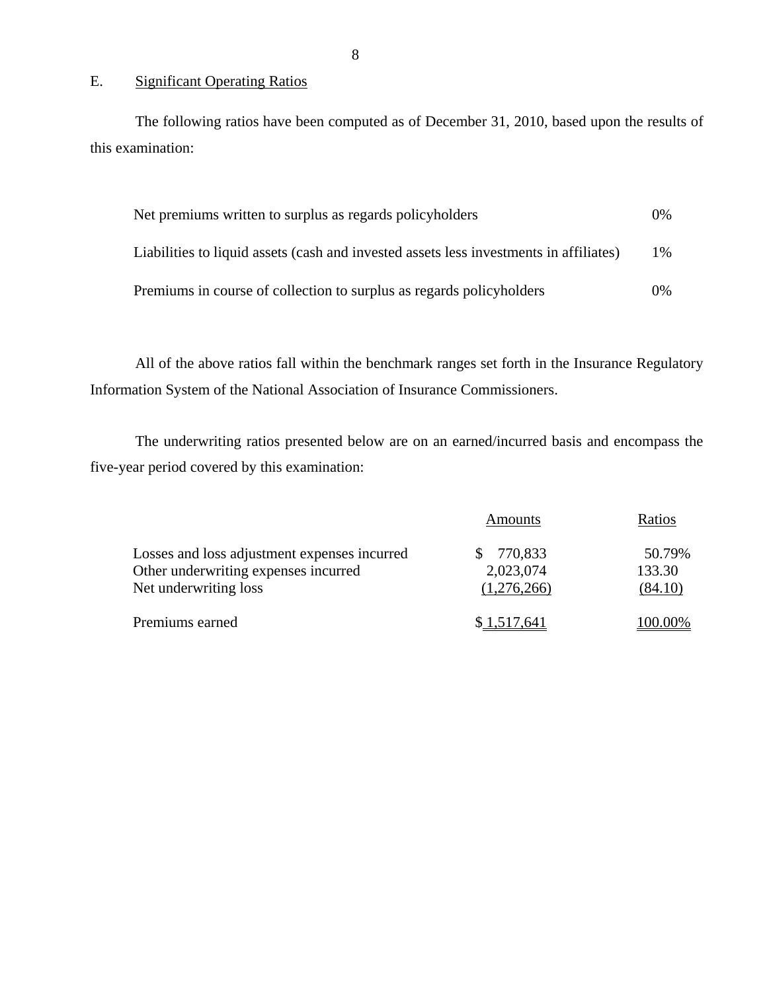### E. Significant Operating Ratios

The following ratios have been computed as of December 31, 2010, based upon the results of this examination:

| Net premiums written to surplus as regards policyholders                               | $0\%$ |
|----------------------------------------------------------------------------------------|-------|
| Liabilities to liquid assets (cash and invested assets less investments in affiliates) | $1\%$ |
| Premiums in course of collection to surplus as regards policyholders                   | $0\%$ |

All of the above ratios fall within the benchmark ranges set forth in the Insurance Regulatory Information System of the National Association of Insurance Commissioners.

The underwriting ratios presented below are on an earned/incurred basis and encompass the five-year period covered by this examination:

|                                                                                                               | Amounts                             | Ratios                      |
|---------------------------------------------------------------------------------------------------------------|-------------------------------------|-----------------------------|
| Losses and loss adjustment expenses incurred<br>Other underwriting expenses incurred<br>Net underwriting loss | 770,833<br>2,023,074<br>(1,276,266) | 50.79%<br>133.30<br>(84.10) |
| Premiums earned                                                                                               | \$1,517,641                         | 100.00%                     |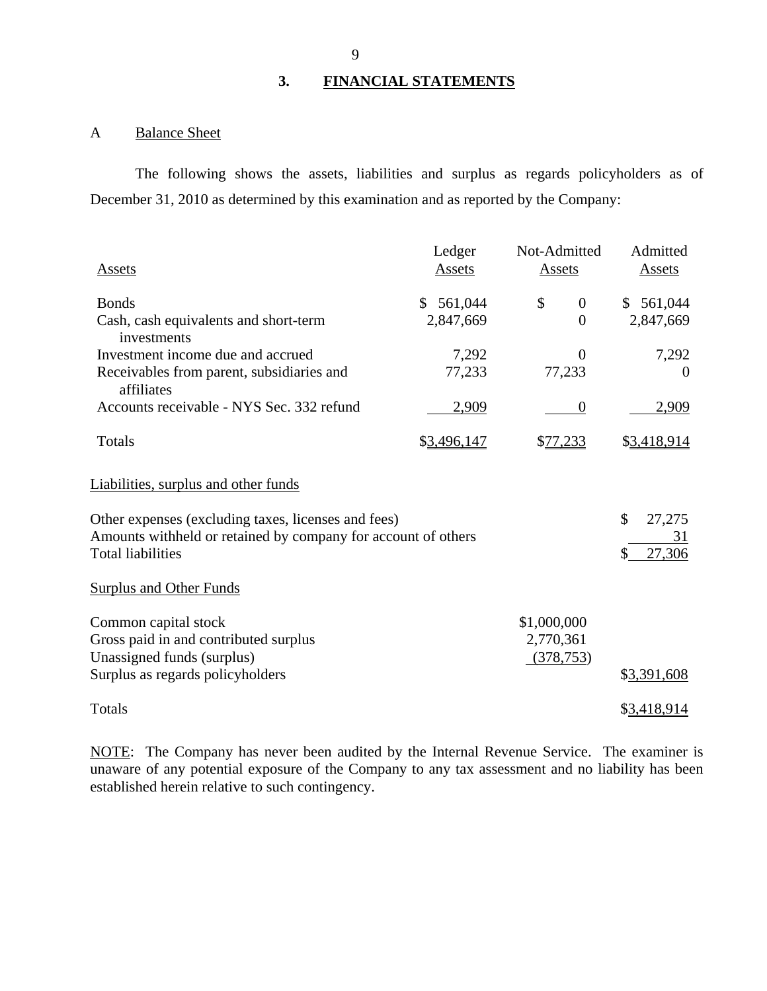#### **3. FINANCIAL STATEMENTS**

## A Balance Sheet

The following shows the assets, liabilities and surplus as regards policyholders as of December 31, 2010 as determined by this examination and as reported by the Company:

| Assets                                                                                                                                                                            | Ledger<br>Assets           | Not-Admitted<br>Assets         | Admitted<br>Assets                 |
|-----------------------------------------------------------------------------------------------------------------------------------------------------------------------------------|----------------------------|--------------------------------|------------------------------------|
| <b>Bonds</b><br>Cash, cash equivalents and short-term                                                                                                                             | 561,044<br>S.<br>2,847,669 | \$<br>$\mathbf{0}$<br>$\Omega$ | \$561,044<br>2,847,669             |
| investments                                                                                                                                                                       |                            |                                |                                    |
| Investment income due and accrued                                                                                                                                                 | 7,292                      | $\Omega$                       | 7,292                              |
| Receivables from parent, subsidiaries and<br>affiliates                                                                                                                           | 77,233                     | 77,233                         | $\Omega$                           |
| Accounts receivable - NYS Sec. 332 refund                                                                                                                                         | 2,909                      | $\theta$                       | 2,909                              |
| Totals                                                                                                                                                                            | \$3,496,147                | \$77,233                       | \$3,418,914                        |
| Liabilities, surplus and other funds<br>Other expenses (excluding taxes, licenses and fees)<br>Amounts withheld or retained by company for account of others<br>Total liabilities |                            |                                | \$<br>27,275<br>31<br>27,306<br>\$ |
| <b>Surplus and Other Funds</b>                                                                                                                                                    |                            |                                |                                    |
| Common capital stock                                                                                                                                                              |                            | \$1,000,000                    |                                    |
| Gross paid in and contributed surplus                                                                                                                                             |                            | 2,770,361                      |                                    |
| Unassigned funds (surplus)                                                                                                                                                        |                            | (378, 753)                     |                                    |
| Surplus as regards policyholders                                                                                                                                                  |                            |                                | \$3,391,608                        |
| Totals                                                                                                                                                                            |                            |                                | \$3,418,914                        |

NOTE: The Company has never been audited by the Internal Revenue Service. The examiner is unaware of any potential exposure of the Company to any tax assessment and no liability has been established herein relative to such contingency.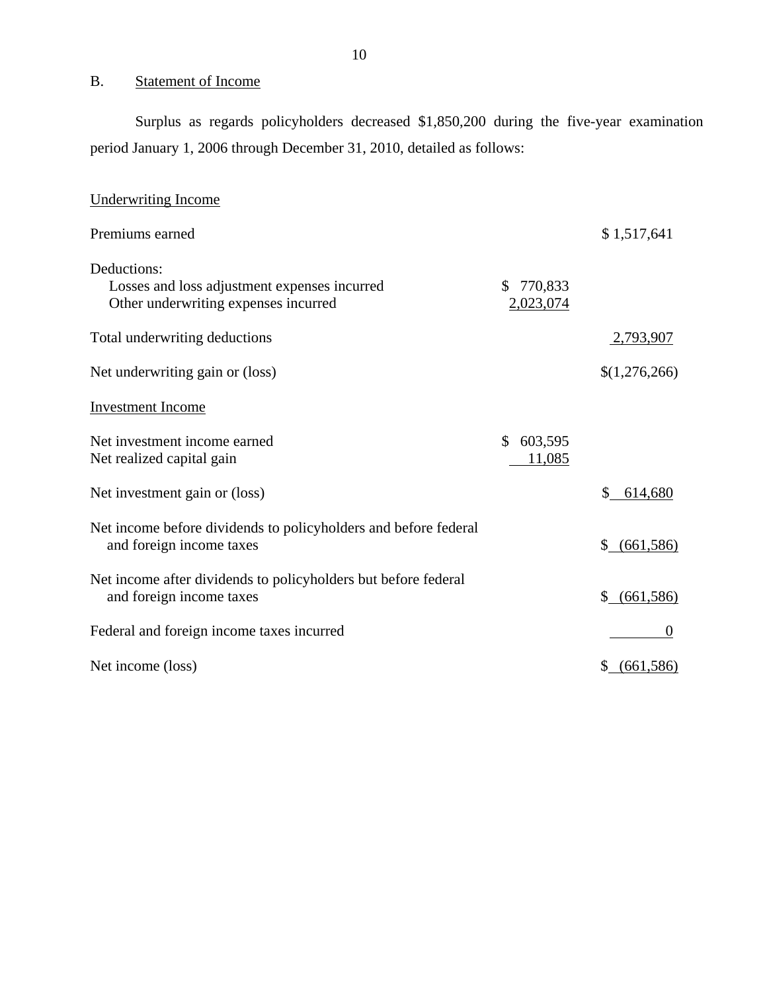## B. Statement of Income

Surplus as regards policyholders decreased \$1,850,200 during the five-year examination period January 1, 2006 through December 31, 2010, detailed as follows:

| <b>Underwriting Income</b>                                                                          |                            |                  |
|-----------------------------------------------------------------------------------------------------|----------------------------|------------------|
| Premiums earned                                                                                     |                            | \$1,517,641      |
| Deductions:<br>Losses and loss adjustment expenses incurred<br>Other underwriting expenses incurred | 770,833<br>S.<br>2,023,074 |                  |
| Total underwriting deductions                                                                       |                            | <u>2,793,907</u> |
| Net underwriting gain or (loss)                                                                     |                            | \$(1,276,266)    |
| <b>Investment Income</b>                                                                            |                            |                  |
| Net investment income earned<br>Net realized capital gain                                           | \$<br>603,595<br>11,085    |                  |
| Net investment gain or (loss)                                                                       |                            | \$<br>614,680    |
| Net income before dividends to policyholders and before federal<br>and foreign income taxes         |                            | $$$ (661,586)    |
| Net income after dividends to policyholders but before federal<br>and foreign income taxes          |                            | \$ (661,586)     |
| Federal and foreign income taxes incurred                                                           |                            | $\overline{0}$   |
| Net income (loss)                                                                                   |                            | (661, 586)       |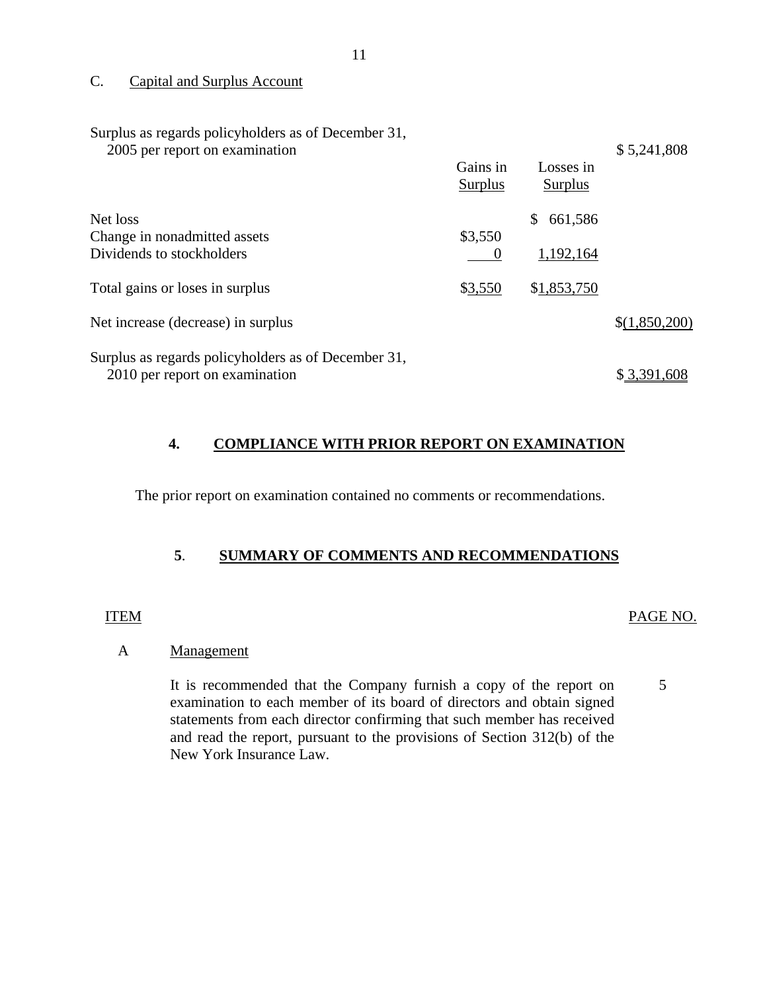#### C. Capital and Surplus Account

Surplus as regards policyholders as of December 31,

| 2005 per report on examination |  |
|--------------------------------|--|
|--------------------------------|--|

|                                                     | Gains in<br><b>Surplus</b> | Losses in<br><b>Surplus</b> |               |
|-----------------------------------------------------|----------------------------|-----------------------------|---------------|
| Net loss                                            |                            | 661,586<br>S                |               |
| Change in nonadmitted assets                        | \$3,550                    |                             |               |
| Dividends to stockholders                           |                            | 1,192,164                   |               |
| Total gains or loses in surplus                     | \$3,550                    | \$1,853,750                 |               |
| Net increase (decrease) in surplus                  |                            |                             | \$(1,850,200) |
| Surplus as regards policyholders as of December 31, |                            |                             |               |
| 2010 per report on examination                      |                            |                             | \$3,391,608   |

#### **4. COMPLIANCE WITH PRIOR REPORT ON EXAMINATION**

The prior report on examination contained no comments or recommendations.

### **5**. **SUMMARY OF COMMENTS AND RECOMMENDATIONS**

#### ITEM PAGE NO.

\$ 5,241,808

#### A Management

It is recommended that the Company furnish a copy of the report on examination to each member of its board of directors and obtain signed statements from each director confirming that such member has received and read the report, pursuant to the provisions of Section 312(b) of the New York Insurance Law. 5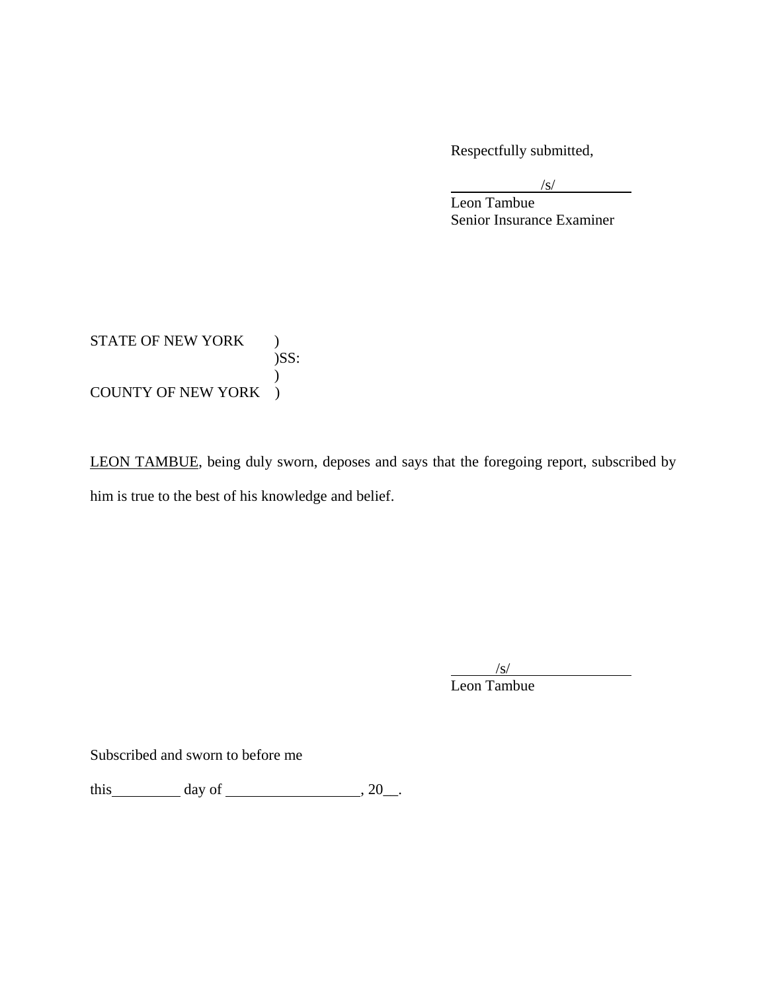Respectfully submitted,

 $\sqrt{s}$ /s/

 Leon Tambue Senior Insurance Examiner

STATE OF NEW YORK ) )SS:  $\mathcal{L}$ COUNTY OF NEW YORK )

LEON TAMBUE, being duly sworn, deposes and says that the foregoing report, subscribed by him is true to the best of his knowledge and belief.

 $\sqrt{s}$ /s/

Leon Tambue

Subscribed and sworn to before me

this  $\_\_\_\_\$  day of  $\_\_\_\_\_\_\$